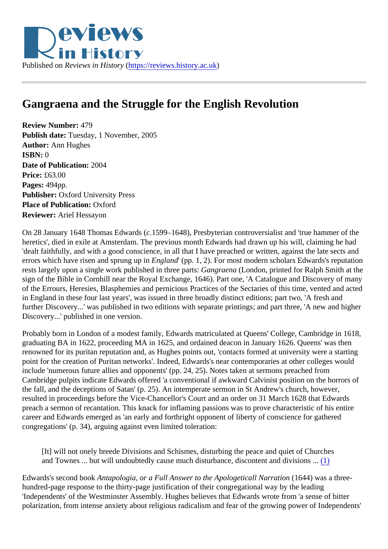<span id="page-0-0"></span>

## **Gangraena and the Struggle for the English Revolution**

**Review Number:** 479 **Publish date:** Tuesday, 1 November, 2005 **Author:** Ann Hughes **ISBN:** 0 **Date of Publication:** 2004 **Price:** £63.00 **Pages:** 494pp. **Publisher:** Oxford University Press **Place of Publication:** Oxford **Reviewer:** Ariel Hessayon

On 28 January 1648 Thomas Edwards (*c*.1599–1648), Presbyterian controversialist and 'true hammer of the heretics', died in exile at Amsterdam. The previous month Edwards had drawn up his will, claiming he had 'dealt faithfully, and with a good conscience, in all that I have preached or written, against the late sects and errors which have risen and sprung up in *England*' (pp. 1, 2). For most modern scholars Edwards's reputation rests largely upon a single work published in three parts: *Gangraena* (London, printed for Ralph Smith at the sign of the Bible in Cornhill near the Royal Exchange, 1646). Part one, 'A Catalogue and Discovery of many of the Errours, Heresies, Blasphemies and pernicious Practices of the Sectaries of this time, vented and acted in England in these four last years', was issued in three broadly distinct editions; part two, 'A fresh and further Discovery...' was published in two editions with separate printings; and part three, 'A new and higher Discovery...' published in one version.

Probably born in London of a modest family, Edwards matriculated at Queens' College, Cambridge in 1618, graduating BA in 1622, proceeding MA in 1625, and ordained deacon in January 1626. Queens' was then renowned for its puritan reputation and, as Hughes points out, 'contacts formed at university were a starting point for the creation of Puritan networks'. Indeed, Edwards's near contemporaries at other colleges would include 'numerous future allies and opponents' (pp. 24, 25). Notes taken at sermons preached from Cambridge pulpits indicate Edwards offered 'a conventional if awkward Calvinist position on the horrors of the fall, and the deceptions of Satan' (p. 25). An intemperate sermon in St Andrew's church, however, resulted in proceedings before the Vice-Chancellor's Court and an order on 31 March 1628 that Edwards preach a sermon of recantation. This knack for inflaming passions was to prove characteristic of his entire career and Edwards emerged as 'an early and forthright opponent of liberty of conscience for gathered congregations' (p. 34), arguing against even limited toleration:

[It] will not onely breede Divisions and Schismes, disturbing the peace and quiet of Churches and Townes ... but will undoubtedly cause much disturbance, discontent and divisions ... [\(1\)](#page-4-0)

Edwards's second book *Antapologia, or a Full Answer to the Apologeticall Narration* (1644) was a threehundred-page response to the thirty-page justification of their congregational way by the leading 'Independents' of the Westminster Assembly. Hughes believes that Edwards wrote from 'a sense of bitter polarization, from intense anxiety about religious radicalism and fear of the growing power of Independents'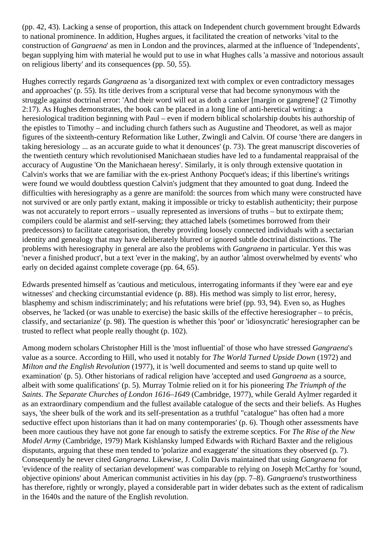(pp. 42, 43). Lacking a sense of proportion, this attack on Independent church government brought Edwards to national prominence. In addition, Hughes argues, it facilitated the creation of networks 'vital to the construction of *Gangraena*' as men in London and the provinces, alarmed at the influence of 'Independents', began supplying him with material he would put to use in what Hughes calls 'a massive and notorious assault on religious liberty' and its consequences (pp. 50, 55).

Hughes correctly regards *Gangraena* as 'a disorganized text with complex or even contradictory messages and approaches' (p. 55). Its title derives from a scriptural verse that had become synonymous with the struggle against doctrinal error: 'And their word will eat as doth a canker [margin or gangrene]' (2 Timothy 2:17). As Hughes demonstrates, the book can be placed in a long line of anti-heretical writing: a heresiological tradition beginning with Paul – even if modern biblical scholarship doubts his authorship of the epistles to Timothy – and including church fathers such as Augustine and Theodoret, as well as major figures of the sixteenth-century Reformation like Luther, Zwingli and Calvin. Of course 'there are dangers in taking heresiology ... as an accurate guide to what it denounces' (p. 73). The great manuscript discoveries of the twentieth century which revolutionised Manichaean studies have led to a fundamental reappraisal of the accuracy of Augustine 'On the Manichaean heresy'. Similarly, it is only through extensive quotation in Calvin's works that we are familiar with the ex-priest Anthony Pocquet's ideas; if this libertine's writings were found we would doubtless question Calvin's judgment that they amounted to goat dung. Indeed the difficulties with heresiography as a genre are manifold: the sources from which many were constructed have not survived or are only partly extant, making it impossible or tricky to establish authenticity; their purpose was not accurately to report errors – usually represented as inversions of truths – but to extirpate them; compilers could be alarmist and self-serving; they attached labels (sometimes borrowed from their predecessors) to facilitate categorisation, thereby providing loosely connected individuals with a sectarian identity and genealogy that may have deliberately blurred or ignored subtle doctrinal distinctions. The problems with heresiography in general are also the problems with *Gangraena* in particular. Yet this was 'never a finished product', but a text 'ever in the making', by an author 'almost overwhelmed by events' who early on decided against complete coverage (pp. 64, 65).

Edwards presented himself as 'cautious and meticulous, interrogating informants if they 'were ear and eye witnesses' and checking circumstantial evidence (p. 88). His method was simply to list error, heresy, blasphemy and schism indiscriminately; and his refutations were brief (pp. 93, 94). Even so, as Hughes observes, he 'lacked (or was unable to exercise) the basic skills of the effective heresiographer – to précis, classify, and sectarianize' (p. 98). The question is whether this 'poor' or 'idiosyncratic' heresiographer can be trusted to reflect what people really thought (p. 102).

Among modern scholars Christopher Hill is the 'most influential' of those who have stressed *Gangraena*'s value as a source. According to Hill, who used it notably for *The World Turned Upside Down* (1972) and *Milton and the English Revolution* (1977), it is 'well documented and seems to stand up quite well to examination' (p. 5). Other historians of radical religion have 'accepted and used *Gangraena* as a source, albeit with some qualifications' (p. 5). Murray Tolmie relied on it for his pioneering *The Triumph of the Saints*. *The Separate Churches of London 1616–1649* (Cambridge, 1977), while Gerald Aylmer regarded it as an extraordinary compendium and the fullest available catalogue of the sects and their beliefs. As Hughes says, 'the sheer bulk of the work and its self-presentation as a truthful "catalogue" has often had a more seductive effect upon historians than it had on many contemporaries' (p. 6). Though other assessments have been more cautious they have not gone far enough to satisfy the extreme sceptics. For *The Rise of the New Model Army* (Cambridge, 1979) Mark Kishlansky lumped Edwards with Richard Baxter and the religious disputants, arguing that these men tended to 'polarize and exaggerate' the situations they observed (p. 7). Consequently he never cited *Gangraena*. Likewise, J. Colin Davis maintained that using *Gangraena* for 'evidence of the reality of sectarian development' was comparable to relying on Joseph McCarthy for 'sound, objective opinions' about American communist activities in his day (pp. 7–8). *Gangraena*'s trustworthiness has therefore, rightly or wrongly, played a considerable part in wider debates such as the extent of radicalism in the 1640s and the nature of the English revolution.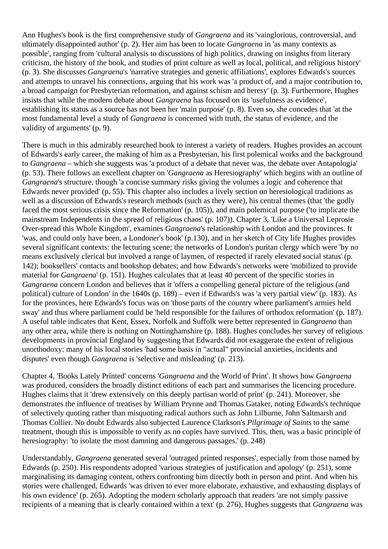Ann Hughes's book is the first comprehensive study of *Gangraena* and its 'vainglorious, controversial, and ultimately disappointed author' (p. 2). Her aim has been to locate *Gangraena* in 'as many contexts as possible', ranging from 'cultural analysis to discussions of high politics, drawing on insights from literary criticism, the history of the book, and studies of print culture as well as local, political, and religious history' (p. 3). She discusses *Gangraena*'s 'narrative strategies and generic affiliations', explores Edwards's sources and attempts to unravel his connections, arguing that his work was 'a product of, and a major contribution to, a broad campaign for Presbyterian reformation, and against schism and heresy' (p. 3). Furthermore, Hughes insists that while the modern debate about *Gangraena* has focused on its 'usefulness as evidence', establishing its status as a source has not been her 'main purpose' (p. 8). Even so, she concedes that 'at the most fundamental level a study of *Gangraena* is concerned with truth, the status of evidence, and the validity of arguments' (p. 9).

There is much in this admirably researched book to interest a variety of readers. Hughes provides an account of Edwards's early career, the making of him as a Presbyterian, his first polemical works and the background to *Gangraena* – which she suggests was 'a product of a debate that never was, the debate over Antapologia' (p. 53). There follows an excellent chapter on '*Gangraena* as Heresiography' which begins with an outline of *Gangraena*'s structure, though 'a concise summary risks giving the volumes a logic and coherence that Edwards never provided' (p. 55). This chapter also includes a lively section on heresiological traditions as well as a discussion of Edwards's research methods (such as they were), his central themes (that 'the godly faced the most serious crisis since the Reformation' (p. 105)), and main polemical purpose ('to implicate the mainstream Independents in the spread of religious chaos' (p. 107)). Chapter 3, 'Like a Universal Leprosie Over-spread this Whole Kingdom', examines *Gangraena*'s relationship with London and the provinces. It 'was, and could only have been, a Londoner's book' (p.130), and in her sketch of City life Hughes provides several significant contexts: the lecturing scene; the networks of London's puritan clergy which were 'by no means exclusively clerical but involved a range of laymen, of respected if rarely elevated social status' (p. 142); booksellers' contacts and bookshop debates; and how Edwards's networks were 'mobilized to provide material for *Gangraena*' (p. 151). Hughes calculates that at least 40 percent of the specific stories in *Gangraena* concern London and believes that it 'offers a compelling general picture of the religious (and political) culture of London' in the 1640s (p. 169) – even if Edwards's was 'a very partial view' (p. 183). As for the provinces, here Edwards's focus was on 'those parts of the country where parliament's armies held sway' and thus where parliament could be 'held responsible for the failures of orthodox reformation' (p. 187). A useful table indicates that Kent, Essex, Norfolk and Suffolk were better represented in *Gangraena* than any other area, while there is nothing on Nottinghamshire (p. 188). Hughes concludes her survey of religious developments in provincial England by suggesting that Edwards did not exaggerate the extent of religious unorthodoxy: many of his local stories 'had some basis in "actual" provincial anxieties, incidents and disputes' even though *Gangraena* is 'selective and misleading' (p. 213).

Chapter 4, 'Books Lately Printed' concerns '*Gangraena* and the World of Print'. It shows how *Gangraena* was produced, considers the broadly distinct editions of each part and summarises the licencing procedure. Hughes claims that it 'drew extensively on this deeply partisan world of print' (p. 241). Moreover, she demonstrates the influence of treatises by William Prynne and Thomas Gataker, noting Edwards's technique of selectively quoting rather than misquoting radical authors such as John Lilburne, John Saltmarsh and Thomas Collier. No doubt Edwards also subjected Laurence Clarkson's *Pilgrimage of Saints* to the same treatment, though this is impossible to verify as no copies have survived. This, then, was a basic principle of heresiography: 'to isolate the most damning and dangerous passages.' (p. 248)

Understandably, *Gangraena* generated several 'outraged printed responses', especially from those named by Edwards (p. 250). His respondents adopted 'various strategies of justification and apology' (p. 251), some marginalising its damaging content, others confronting him directly both in person and print. And when his stories were challenged, Edwards 'was driven to ever more elaborate, exhaustive, and exhausting displays of his own evidence' (p. 265). Adopting the modern scholarly approach that readers 'are not simply passive recipients of a meaning that is clearly contained within a text' (p. 276), Hughes suggests that *Gangraena* was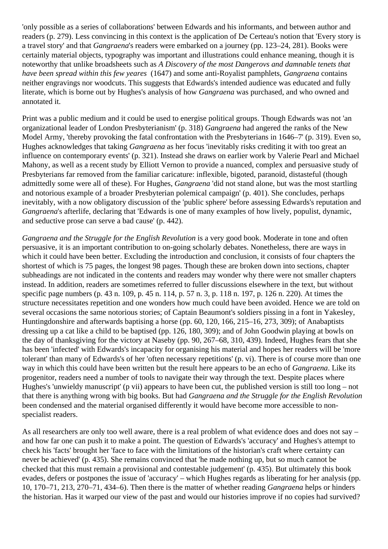'only possible as a series of collaborations' between Edwards and his informants, and between author and readers (p. 279). Less convincing in this context is the application of De Certeau's notion that 'Every story is a travel story' and that *Gangraena*'s readers were embarked on a journey (pp. 123–24, 281). Books were certainly material objects, typography was important and illustrations could enhance meaning, though it is noteworthy that unlike broadsheets such as *A Discovery of the most Dangerovs and damnable tenets that have been spread within this few yeares* (1647) and some anti-Royalist pamphlets, *Gangraena* contains neither engravings nor woodcuts. This suggests that Edwards's intended audience was educated and fully literate, which is borne out by Hughes's analysis of how *Gangraena* was purchased, and who owned and annotated it.

Print was a public medium and it could be used to energise political groups. Though Edwards was not 'an organizational leader of London Presbyterianism' (p. 318) *Gangraena* had angered the ranks of the New Model Army, 'thereby provoking the fatal confrontation with the Presbyterians in 1646–7' (p. 319). Even so, Hughes acknowledges that taking *Gangraena* as her focus 'inevitably risks crediting it with too great an influence on contemporary events' (p. 321). Instead she draws on earlier work by Valerie Pearl and Michael Mahony, as well as a recent study by Elliott Vernon to provide a nuanced, complex and persuasive study of Presbyterians far removed from the familiar caricature: inflexible, bigoted, paranoid, distasteful (though admittedly some were all of these). For Hughes, *Gangraena* 'did not stand alone, but was the most startling and notorious example of a broader Presbyterian polemical campaign' (p. 401). She concludes, perhaps inevitably, with a now obligatory discussion of the 'public sphere' before assessing Edwards's reputation and *Gangraena*'s afterlife, declaring that 'Edwards is one of many examples of how lively, populist, dynamic, and seductive prose can serve a bad cause' (p. 442).

*Gangraena and the Struggle for the English Revolution* is a very good book. Moderate in tone and often persuasive, it is an important contribution to on-going scholarly debates. Nonetheless, there are ways in which it could have been better. Excluding the introduction and conclusion, it consists of four chapters the shortest of which is 75 pages, the longest 98 pages. Though these are broken down into sections, chapter subheadings are not indicated in the contents and readers may wonder why there were not smaller chapters instead. In addition, readers are sometimes referred to fuller discussions elsewhere in the text, but without specific page numbers (p. 43 n. 109, p. 45 n. 114, p. 57 n. 3, p. 118 n. 197, p. 126 n. 220). At times the structure necessitates repetition and one wonders how much could have been avoided. Hence we are told on several occasions the same notorious stories; of Captain Beaumont's soldiers pissing in a font in Yakesley, Huntingdonshire and afterwards baptising a horse (pp. 60, 120, 166, 215–16, 273, 309); of Anabaptists dressing up a cat like a child to be baptised (pp. 126, 180, 309); and of John Goodwin playing at bowls on the day of thanksgiving for the victory at Naseby (pp. 90, 267–68, 310, 439). Indeed, Hughes fears that she has been 'infected' with Edwards's incapacity for organising his material and hopes her readers will be 'more tolerant' than many of Edwards's of her 'often necessary repetitions' (p. vi). There is of course more than one way in which this could have been written but the result here appears to be an echo of *Gangraena*. Like its progenitor, readers need a number of tools to navigate their way through the text. Despite places where Hughes's 'unwieldy manuscript' (p vii) appears to have been cut, the published version is still too long – not that there is anything wrong with big books. But had *Gangraena and the Struggle for the English Revolution* been condensed and the material organised differently it would have become more accessible to nonspecialist readers.

As all researchers are only too well aware, there is a real problem of what evidence does and does not say – and how far one can push it to make a point. The question of Edwards's 'accuracy' and Hughes's attempt to check his 'facts' brought her 'face to face with the limitations of the historian's craft where certainty can never be achieved' (p. 435). She remains convinced that 'he made nothing up, but so much cannot be checked that this must remain a provisional and contestable judgement' (p. 435). But ultimately this book evades, defers or postpones the issue of 'accuracy' – which Hughes regards as liberating for her analysis (pp. 10, 170–71, 213, 270–71, 434–6). Then there is the matter of whether reading *Gangraena* helps or hinders the historian. Has it warped our view of the past and would our histories improve if no copies had survived?